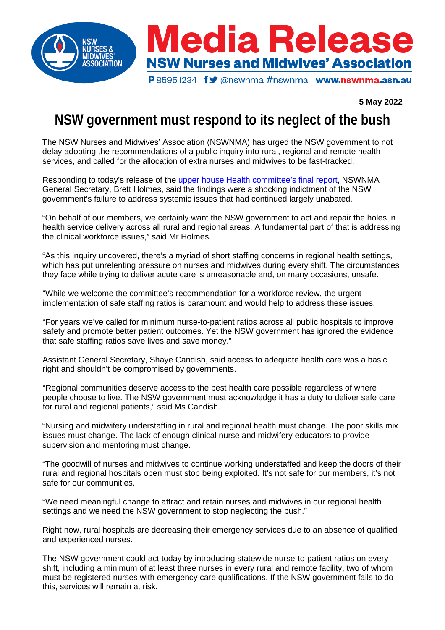

## **5 May 2022**

# **NSW government must respond to its neglect of the bush**

The NSW Nurses and Midwives' Association (NSWNMA) has urged the NSW government to not delay adopting the recommendations of a public inquiry into rural, regional and remote health services, and called for the allocation of extra nurses and midwives to be fast-tracked.

Responding to today's release of the upper house Health [committee's](https://www.parliament.nsw.gov.au/committees/inquiries/Pages/inquiry-details.aspx?pk=2615#tab-reportsandgovernmentresponses) final report, NSWNMA General Secretary, Brett Holmes, said the findings were a shocking indictment of the NSW government's failure to address systemic issues that had continued largely unabated.

"On behalf of our members, we certainly want the NSW government to act and repair the holes in health service delivery across all rural and regional areas. A fundamental part of that is addressing the clinical workforce issues," said Mr Holmes.

"As this inquiry uncovered, there's a myriad of short staffing concerns in regional health settings, which has put unrelenting pressure on nurses and midwives during every shift. The circumstances they face while trying to deliver acute care is unreasonable and, on many occasions, unsafe.

"While we welcome the committee's recommendation for a workforce review, the urgent implementation of safe staffing ratios is paramount and would help to address these issues.

"For years we've called for minimum nurse-to-patient ratios across all public hospitals to improve safety and promote better patient outcomes. Yet the NSW government has ignored the evidence that safe staffing ratios save lives and save money."

Assistant General Secretary, Shaye Candish, said access to adequate health care was a basic right and shouldn't be compromised by governments.

"Regional communities deserve access to the best health care possible regardless of where people choose to live. The NSW government must acknowledge it has a duty to deliver safe care for rural and regional patients," said Ms Candish.

"Nursing and midwifery understaffing in rural and regional health must change. The poor skills mix issues must change. The lack of enough clinical nurse and midwifery educators to provide supervision and mentoring must change.

"The goodwill of nurses and midwives to continue working understaffed and keep the doors of their rural and regional hospitals open must stop being exploited. It's not safe for our members, it's not safe for our communities.

"We need meaningful change to attract and retain nurses and midwives in our regional health settings and we need the NSW government to stop neglecting the bush."

Right now, rural hospitals are decreasing their emergency services due to an absence of qualified and experienced nurses.

The NSW government could act today by introducing statewide nurse-to-patient ratios on every shift, including a minimum of at least three nurses in every rural and remote facility, two of whom must be registered nurses with emergency care qualifications. If the NSW government fails to do this, services will remain at risk.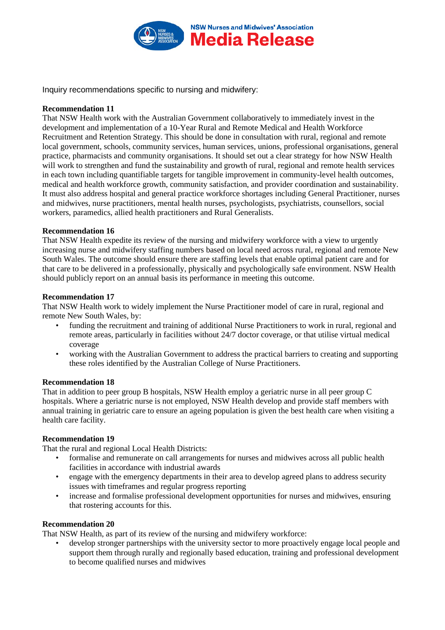

Inquiry recommendations specific to nursing and midwifery:

#### **Recommendation 11**

That NSW Health work with the Australian Government collaboratively to immediately invest in the development and implementation of a 10-Year Rural and Remote Medical and Health Workforce Recruitment and Retention Strategy. This should be done in consultation with rural, regional and remote local government, schools, community services, human services, unions, professional organisations, general practice, pharmacists and community organisations. It should set out a clear strategy for how NSW Health will work to strengthen and fund the sustainability and growth of rural, regional and remote health services in each town including quantifiable targets for tangible improvement in community-level health outcomes, medical and health workforce growth, community satisfaction, and provider coordination and sustainability. It must also address hospital and general practice workforce shortages including General Practitioner, nurses and midwives, nurse practitioners, mental health nurses, psychologists, psychiatrists, counsellors, social workers, paramedics, allied health practitioners and Rural Generalists.

## **Recommendation 16**

That NSW Health expedite its review of the nursing and midwifery workforce with a view to urgently increasing nurse and midwifery staffing numbers based on local need across rural, regional and remote New South Wales. The outcome should ensure there are staffing levels that enable optimal patient care and for that care to be delivered in a professionally, physically and psychologically safe environment. NSW Health should publicly report on an annual basis its performance in meeting this outcome.

## **Recommendation 17**

That NSW Health work to widely implement the Nurse Practitioner model of care in rural, regional and remote New South Wales, by:

- funding the recruitment and training of additional Nurse Practitioners to work in rural, regional and remote areas, particularly in facilities without 24/7 doctor coverage, or that utilise virtual medical coverage
- working with the Australian Government to address the practical barriers to creating and supporting these roles identified by the Australian College of Nurse Practitioners.

#### **Recommendation 18**

That in addition to peer group B hospitals, NSW Health employ a geriatric nurse in all peer group C hospitals. Where a geriatric nurse is not employed, NSW Health develop and provide staff members with annual training in geriatric care to ensure an ageing population is given the best health care when visiting a health care facility.

## **Recommendation 19**

That the rural and regional Local Health Districts:

- formalise and remunerate on call arrangements for nurses and midwives across all public health facilities in accordance with industrial awards
- engage with the emergency departments in their area to develop agreed plans to address security issues with timeframes and regular progress reporting
- increase and formalise professional development opportunities for nurses and midwives, ensuring that rostering accounts for this.

#### **Recommendation 20**

That NSW Health, as part of its review of the nursing and midwifery workforce:

• develop stronger partnerships with the university sector to more proactively engage local people and support them through rurally and regionally based education, training and professional development to become qualified nurses and midwives